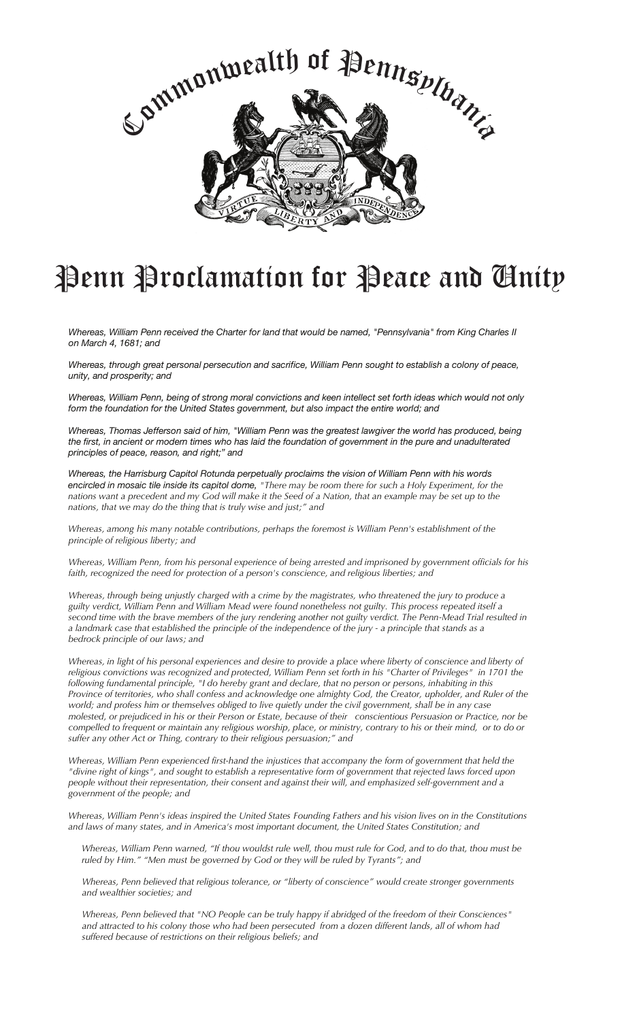

## Penn Proclamation for Peace and *Chnity*

Whereas, William Penn received the Charter for land that would be named, "Pennsylvania" from King Charles II *on March 4, 1681; and*

*Whereas, through great personal persecution and sacrifice, William Penn sought to establish a colony of peace, unity, and prosperity; and*

Whereas, William Penn, being of strong moral convictions and keen intellect set forth ideas which would not only *form the foundation for the United States government, but also impact the entire world; and*

Whereas, Thomas Jefferson said of him, "William Penn was the greatest lawgiver the world has produced, being the first, in ancient or modern times who has laid the foundation of government in the pure and unadulterated *principles of peace, reason, and right;" and*

*Whereas, the Harrisburg Capitol Rotunda perpetually proclaims the vision of William Penn with his words* encircled in mosaic tile inside its capitol dome, "There may be room there for such a Holy Experiment, for the nations want a precedent and my God will make it the Seed of a Nation, that an example may be set up to the *nations, that we may do the thing that is truly wise and just;" and*

*Whereas, among his many notable contributions, perhaps the foremost is William Penn's establishment of the principle of religious liberty; and*

Whereas, William Penn, from his personal experience of being arrested and imprisoned by government officials for his *faith, recognized the need for protection of a person's conscience, and religious liberties; and*

Whereas, through being unjustly charged with a crime by the magistrates, who threatened the jury to produce a guilty verdict, William Penn and William Mead were found nonetheless not guilty. This process repeated itself a second time with the brave members of the jury rendering another not guilty verdict. The Penn-Mead Trial resulted in a landmark case that established the principle of the independence of the jury - a principle that stands as a *bedrock principle of our laws; and*

Whereas, in light of his personal experiences and desire to provide a place where liberty of conscience and liberty of religious convictions was recognized and protected, William Penn set forth in his "Charter of Privileges" in 1701 the following fundamental principle, "I do hereby grant and declare, that no person or persons, inhabiting in this Province of territories, who shall confess and acknowledge one almighty God, the Creator, upholder, and Ruler of the world; and profess him or themselves obliged to live quietly under the civil government, shall be in any case molested, or prejudiced in his or their Person or Estate, because of their conscientious Persuasion or Practice, nor be compelled to frequent or maintain any religious worship, place, or ministry, contrary to his or their mind, or to do or *suffer any other Act or Thing, contrary to their religious persuasion;" and*

*Whereas, William Penn experienced first-hand the injustices that accompany the form of government that held the* "divine right of kings", and sought to establish a representative form of government that rejected laws forced upon *people without their representation, their consent and against their will, and emphasized self-government and a government of the people; and*

Whereas, William Penn's ideas inspired the United States Founding Fathers and his vision lives on in the Constitutions *and laws of many states, and in America's most important document, the United States Constitution; and*

Whereas, William Penn warned, "If thou wouldst rule well, thou must rule for God, and to do that, thou must be *ruled by Him." "Men must be governed by God or they will be ruled by Tyrants"; and*

*Whereas, Penn believed that religious tolerance, or "liberty of conscience" would create stronger governments and wealthier societies; and*

Whereas, Penn believed that "NO People can be truly happy if abridged of the freedom of their Consciences" and attracted to his colony those who had been persecuted from a dozen different lands, all of whom had *suffered because of restrictions on their religious beliefs; and*